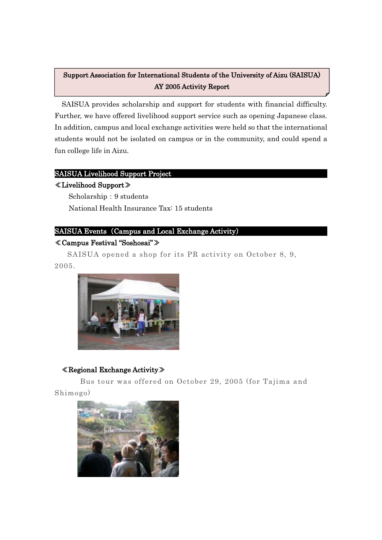#### 12 Support Association for International Students of the University of Aizu (SAISUA) AY 2005 Activity Report

SAISUA provides scholarship and support for students with financial difficulty. Further, we have offered livelihood support service such as opening Japanese class. In addition, campus and local exchange activities were held so that the international students would not be isolated on campus or in the community, and could spend a fun college life in Aizu. ֺ

#### SAISUA Livelihood Support Project

#### ≪Livelihood Support≫

Ē

Scholarship: 9 students National Health Insurance Tax: 15 students

## SAISUA Events (Campus and Local Exchange Activity)

## ≪Campus Festival "Soshosai"≫

SAISUA opened a shop for its PR activity on October 8, 9, 2005.



## ≪Regional Exchange Activity≫

Bus tour was offered on October 29, 2005 (for Tajima and Shimogo)